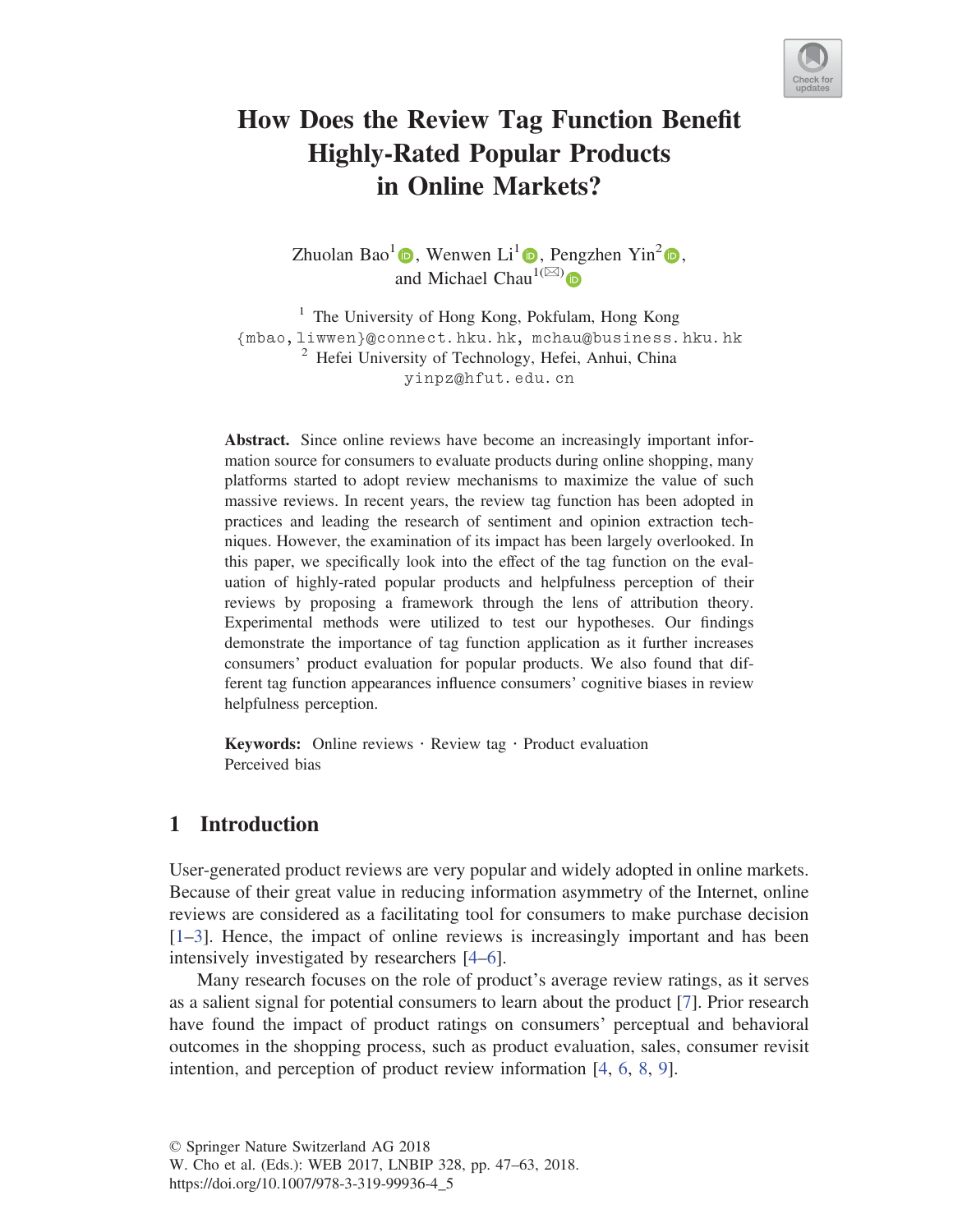

# How Does the Review Tag Function Benefit Highly-Rated Popular Products in Online Markets?

Zhuolan Bao<sup>1</sup> , Wenwen Li<sup>1</sup> , Pengzhen Yin<sup>2</sup> , and Michael Chau<sup>1( $\boxtimes$ )</sup>

 $<sup>1</sup>$  The University of Hong Kong, Pokfulam, Hong Kong</sup> {mbao,liwwen}@connect.hku.hk, mchau@business.hku.hk <sup>2</sup> Hefei University of Technology, Hefei, Anhui, China yinpz@hfut.edu.cn

Abstract. Since online reviews have become an increasingly important information source for consumers to evaluate products during online shopping, many platforms started to adopt review mechanisms to maximize the value of such massive reviews. In recent years, the review tag function has been adopted in practices and leading the research of sentiment and opinion extraction techniques. However, the examination of its impact has been largely overlooked. In this paper, we specifically look into the effect of the tag function on the evaluation of highly-rated popular products and helpfulness perception of their reviews by proposing a framework through the lens of attribution theory. Experimental methods were utilized to test our hypotheses. Our findings demonstrate the importance of tag function application as it further increases consumers' product evaluation for popular products. We also found that different tag function appearances influence consumers' cognitive biases in review helpfulness perception.

Keywords: Online reviews · Review tag · Product evaluation Perceived bias

# 1 Introduction

User-generated product reviews are very popular and widely adopted in online markets. Because of their great value in reducing information asymmetry of the Internet, online reviews are considered as a facilitating tool for consumers to make purchase decision [1–3]. Hence, the impact of online reviews is increasingly important and has been intensively investigated by researchers [4–6].

Many research focuses on the role of product's average review ratings, as it serves as a salient signal for potential consumers to learn about the product [7]. Prior research have found the impact of product ratings on consumers' perceptual and behavioral outcomes in the shopping process, such as product evaluation, sales, consumer revisit intention, and perception of product review information [4, 6, 8, 9].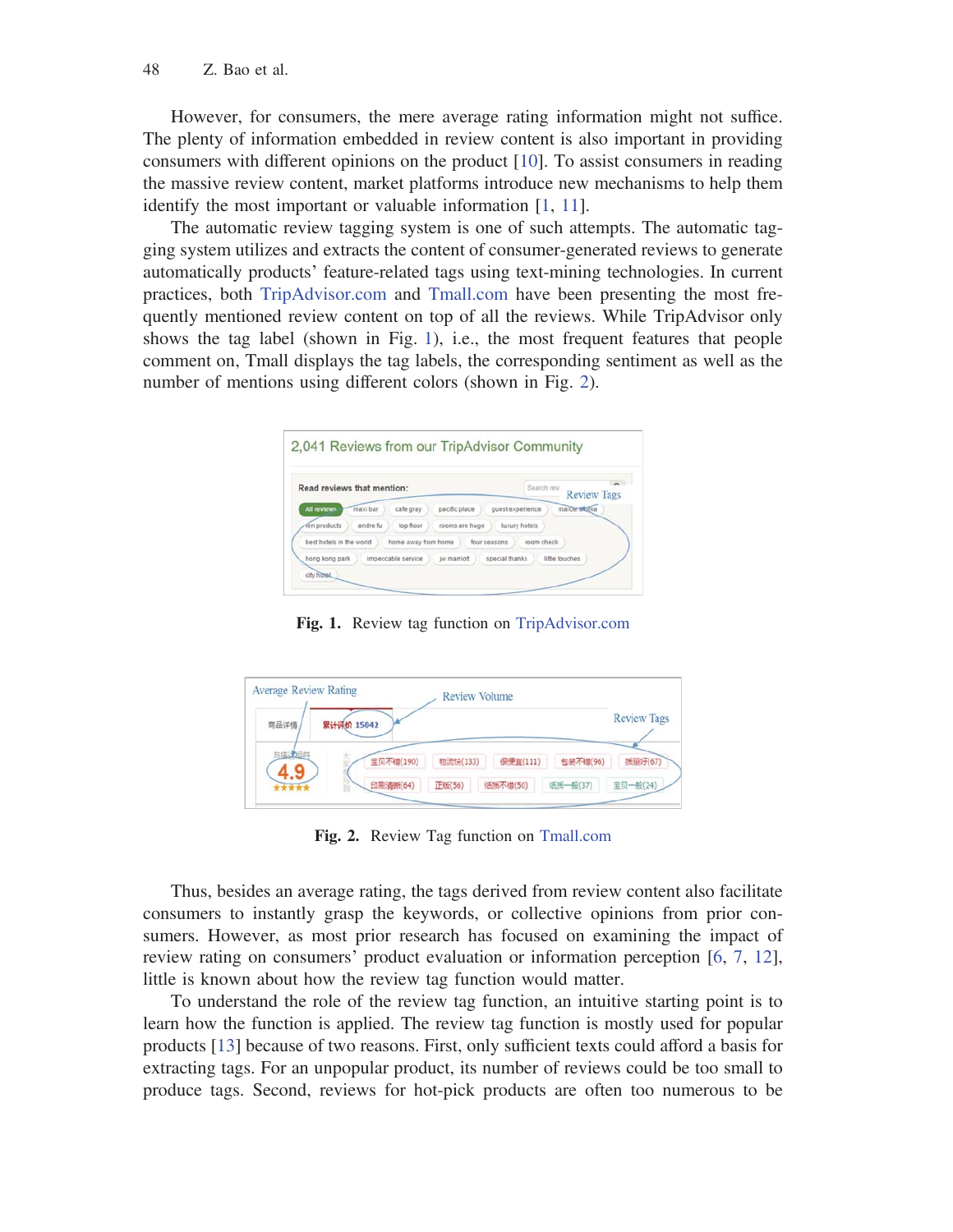However, for consumers, the mere average rating information might not suffice. The plenty of information embedded in review content is also important in providing consumers with different opinions on the product [10]. To assist consumers in reading the massive review content, market platforms introduce new mechanisms to help them identify the most important or valuable information [1, 11].

The automatic review tagging system is one of such attempts. The automatic tagging system utilizes and extracts the content of consumer-generated reviews to generate automatically products' feature-related tags using text-mining technologies. In current practices, both TripAdvisor.com and Tmall.com have been presenting the most frequently mentioned review content on top of all the reviews. While TripAdvisor only shows the tag label (shown in Fig. 1), i.e., the most frequent features that people comment on, Tmall displays the tag labels, the corresponding sentiment as well as the number of mentions using different colors (shown in Fig. 2).



Fig. 1. Review tag function on TripAdvisor.com

| <b>Average Review Rating</b> |            |          | <b>Review Volume</b> |          |                    |
|------------------------------|------------|----------|----------------------|----------|--------------------|
| 商品洋情                         | 累计评价 15042 |          |                      |          | <b>Review Tags</b> |
|                              | 主贝不错(190)  | 物流快(133) | <b>很便宜(111)</b>      | 包装不错(96) | 质量好(67)            |
|                              | 印刷清晰(64)   | 正版(56)   | 纸质不错(50)             | 纸质一般(37) | 宝贝一般(24)           |

Fig. 2. Review Tag function on Tmall.com

Thus, besides an average rating, the tags derived from review content also facilitate consumers to instantly grasp the keywords, or collective opinions from prior consumers. However, as most prior research has focused on examining the impact of review rating on consumers' product evaluation or information perception [6, 7, 12], little is known about how the review tag function would matter.

To understand the role of the review tag function, an intuitive starting point is to learn how the function is applied. The review tag function is mostly used for popular products [13] because of two reasons. First, only sufficient texts could afford a basis for extracting tags. For an unpopular product, its number of reviews could be too small to produce tags. Second, reviews for hot-pick products are often too numerous to be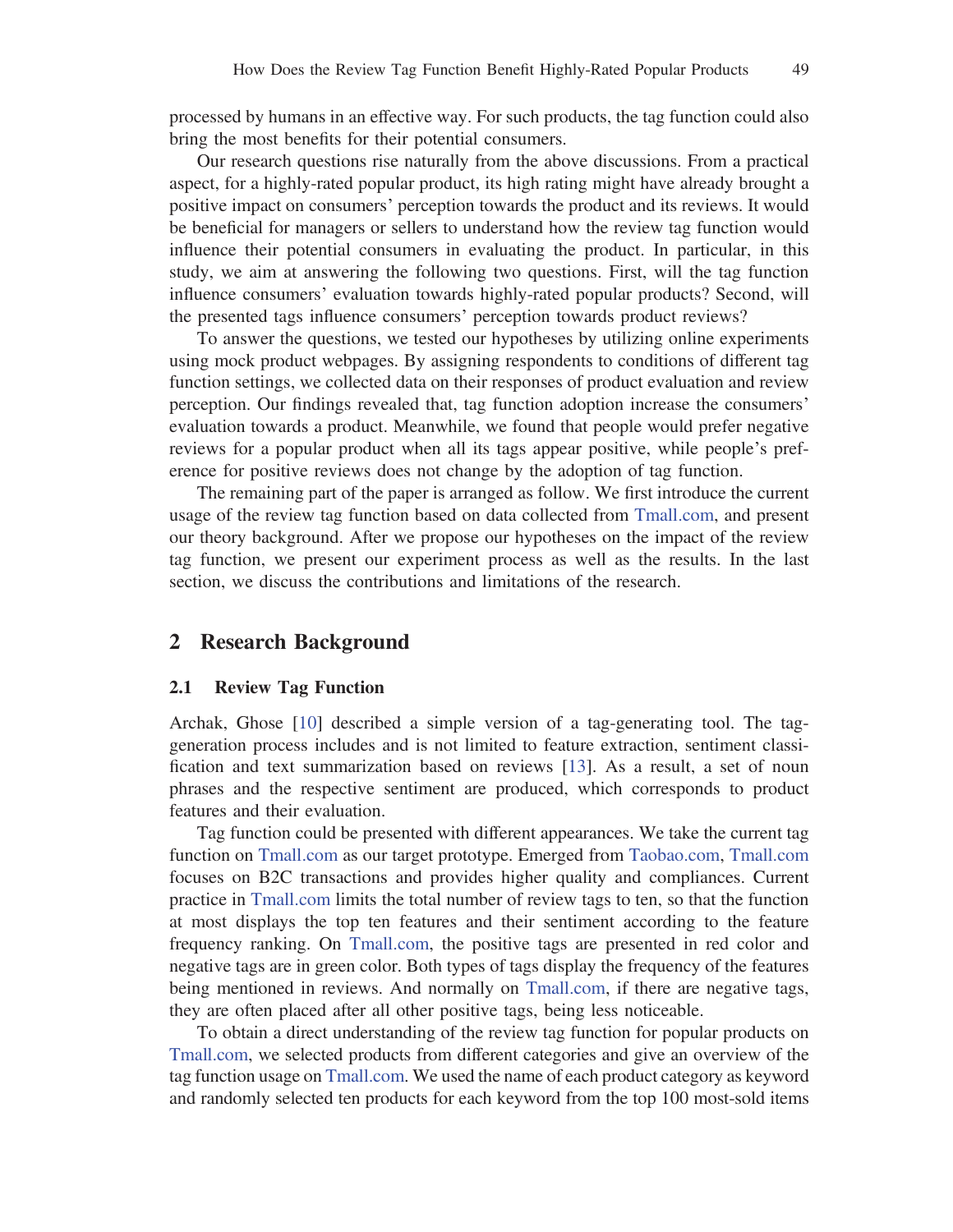processed by humans in an effective way. For such products, the tag function could also bring the most benefits for their potential consumers.

Our research questions rise naturally from the above discussions. From a practical aspect, for a highly-rated popular product, its high rating might have already brought a positive impact on consumers' perception towards the product and its reviews. It would be beneficial for managers or sellers to understand how the review tag function would influence their potential consumers in evaluating the product. In particular, in this study, we aim at answering the following two questions. First, will the tag function influence consumers' evaluation towards highly-rated popular products? Second, will the presented tags influence consumers' perception towards product reviews?

To answer the questions, we tested our hypotheses by utilizing online experiments using mock product webpages. By assigning respondents to conditions of different tag function settings, we collected data on their responses of product evaluation and review perception. Our findings revealed that, tag function adoption increase the consumers' evaluation towards a product. Meanwhile, we found that people would prefer negative reviews for a popular product when all its tags appear positive, while people's preference for positive reviews does not change by the adoption of tag function.

The remaining part of the paper is arranged as follow. We first introduce the current usage of the review tag function based on data collected from Tmall.com, and present our theory background. After we propose our hypotheses on the impact of the review tag function, we present our experiment process as well as the results. In the last section, we discuss the contributions and limitations of the research.

## 2 Research Background

#### 2.1 Review Tag Function

Archak, Ghose [10] described a simple version of a tag-generating tool. The taggeneration process includes and is not limited to feature extraction, sentiment classification and text summarization based on reviews [13]. As a result, a set of noun phrases and the respective sentiment are produced, which corresponds to product features and their evaluation.

Tag function could be presented with different appearances. We take the current tag function on Tmall.com as our target prototype. Emerged from Taobao.com, Tmall.com focuses on B2C transactions and provides higher quality and compliances. Current practice in Tmall.com limits the total number of review tags to ten, so that the function at most displays the top ten features and their sentiment according to the feature frequency ranking. On Tmall.com, the positive tags are presented in red color and negative tags are in green color. Both types of tags display the frequency of the features being mentioned in reviews. And normally on Tmall.com, if there are negative tags, they are often placed after all other positive tags, being less noticeable.

To obtain a direct understanding of the review tag function for popular products on Tmall.com, we selected products from different categories and give an overview of the tag function usage on Tmall.com. We used the name of each product category as keyword and randomly selected ten products for each keyword from the top 100 most-sold items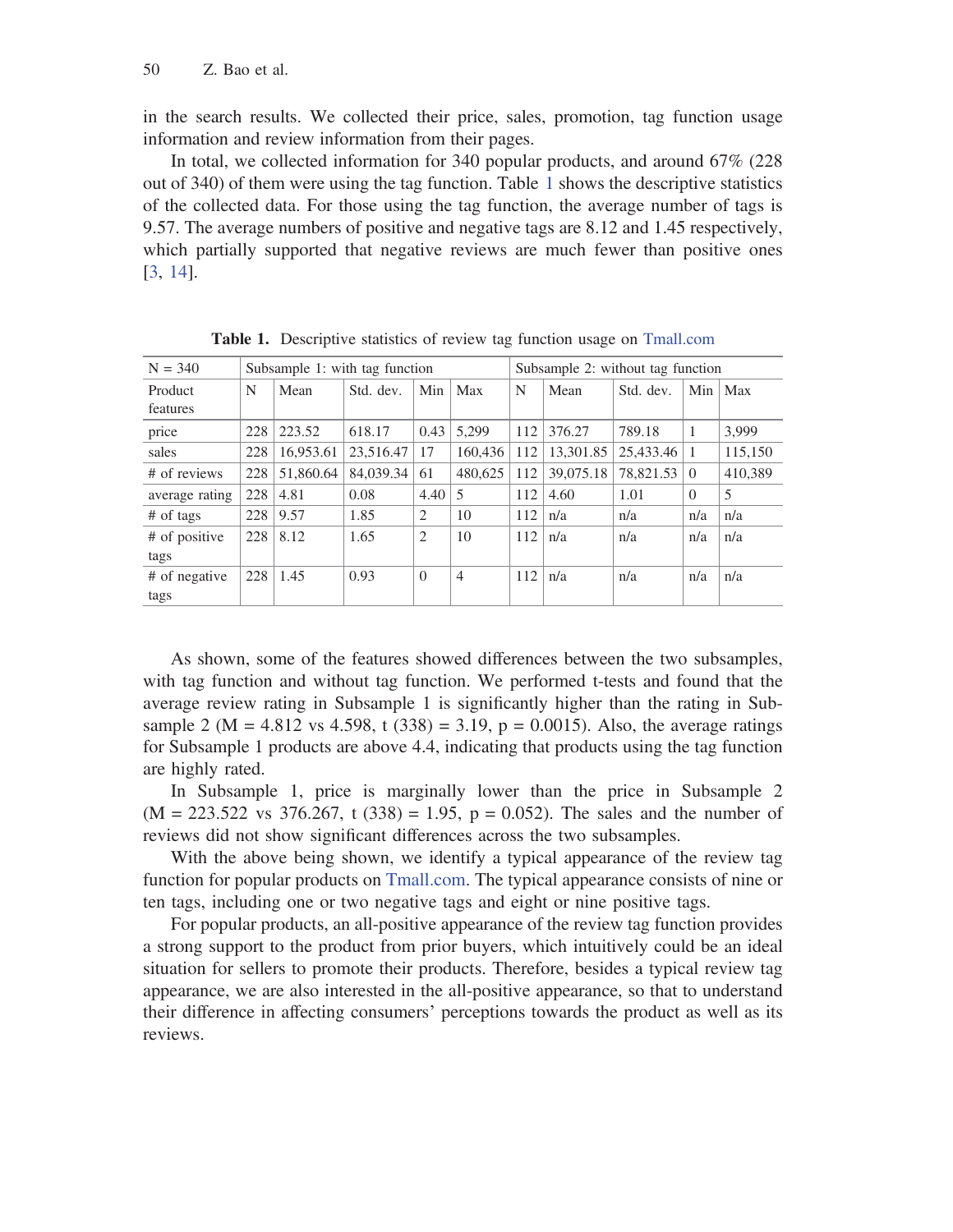in the search results. We collected their price, sales, promotion, tag function usage information and review information from their pages.

In total, we collected information for 340 popular products, and around 67% (228 out of 340) of them were using the tag function. Table 1 shows the descriptive statistics of the collected data. For those using the tag function, the average number of tags is 9.57. The average numbers of positive and negative tags are 8.12 and 1.45 respectively, which partially supported that negative reviews are much fewer than positive ones [3, 14].

| $N = 340$      | Subsample 1: with tag function |           |           |          | Subsample 2: without tag function |     |           |           |          |                |
|----------------|--------------------------------|-----------|-----------|----------|-----------------------------------|-----|-----------|-----------|----------|----------------|
| Product        | N                              | Mean      | Std. dev. | Min      | Max                               | N   | Mean      | Std. dev. |          | $Min \mid Max$ |
| features       |                                |           |           |          |                                   |     |           |           |          |                |
| price          | 228                            | 223.52    | 618.17    | 0.43     | 5.299                             | 112 | 376.27    | 789.18    | 1        | 3,999          |
| sales          | 228                            | 16.953.61 | 23.516.47 | 17       | 160,436                           | 112 | 13.301.85 | 25,433.46 | 1        | 115,150        |
| # of reviews   | 228                            | 51,860.64 | 84,039.34 | 61       | 480.625                           | 112 | 39,075.18 | 78,821.53 | $\Omega$ | 410.389        |
| average rating | 228                            | 4.81      | 0.08      | 4.40     | 5                                 | 112 | 4.60      | 1.01      | $\Omega$ | 5              |
| # of tags      | 228                            | 9.57      | 1.85      | 2        | 10                                | 112 | n/a       | n/a       | n/a      | n/a            |
| # of positive  | 228                            | 8.12      | 1.65      | 2        | 10                                | 112 | n/a       | n/a       | n/a      | n/a            |
| tags           |                                |           |           |          |                                   |     |           |           |          |                |
| # of negative  | 228                            | 1.45      | 0.93      | $\Omega$ | $\overline{4}$                    | 112 | n/a       | n/a       | n/a      | n/a            |
| tags           |                                |           |           |          |                                   |     |           |           |          |                |

Table 1. Descriptive statistics of review tag function usage on Tmall.com

As shown, some of the features showed differences between the two subsamples, with tag function and without tag function. We performed t-tests and found that the average review rating in Subsample 1 is significantly higher than the rating in Subsample 2 (M = 4.812 vs 4.598, t (338) = 3.19, p = 0.0015). Also, the average ratings for Subsample 1 products are above 4.4, indicating that products using the tag function are highly rated.

In Subsample 1, price is marginally lower than the price in Subsample 2  $(M = 223.522$  vs 376.267, t (338) = 1.95, p = 0.052). The sales and the number of reviews did not show significant differences across the two subsamples.

With the above being shown, we identify a typical appearance of the review tag function for popular products on Tmall.com. The typical appearance consists of nine or ten tags, including one or two negative tags and eight or nine positive tags.

For popular products, an all-positive appearance of the review tag function provides a strong support to the product from prior buyers, which intuitively could be an ideal situation for sellers to promote their products. Therefore, besides a typical review tag appearance, we are also interested in the all-positive appearance, so that to understand their difference in affecting consumers' perceptions towards the product as well as its reviews.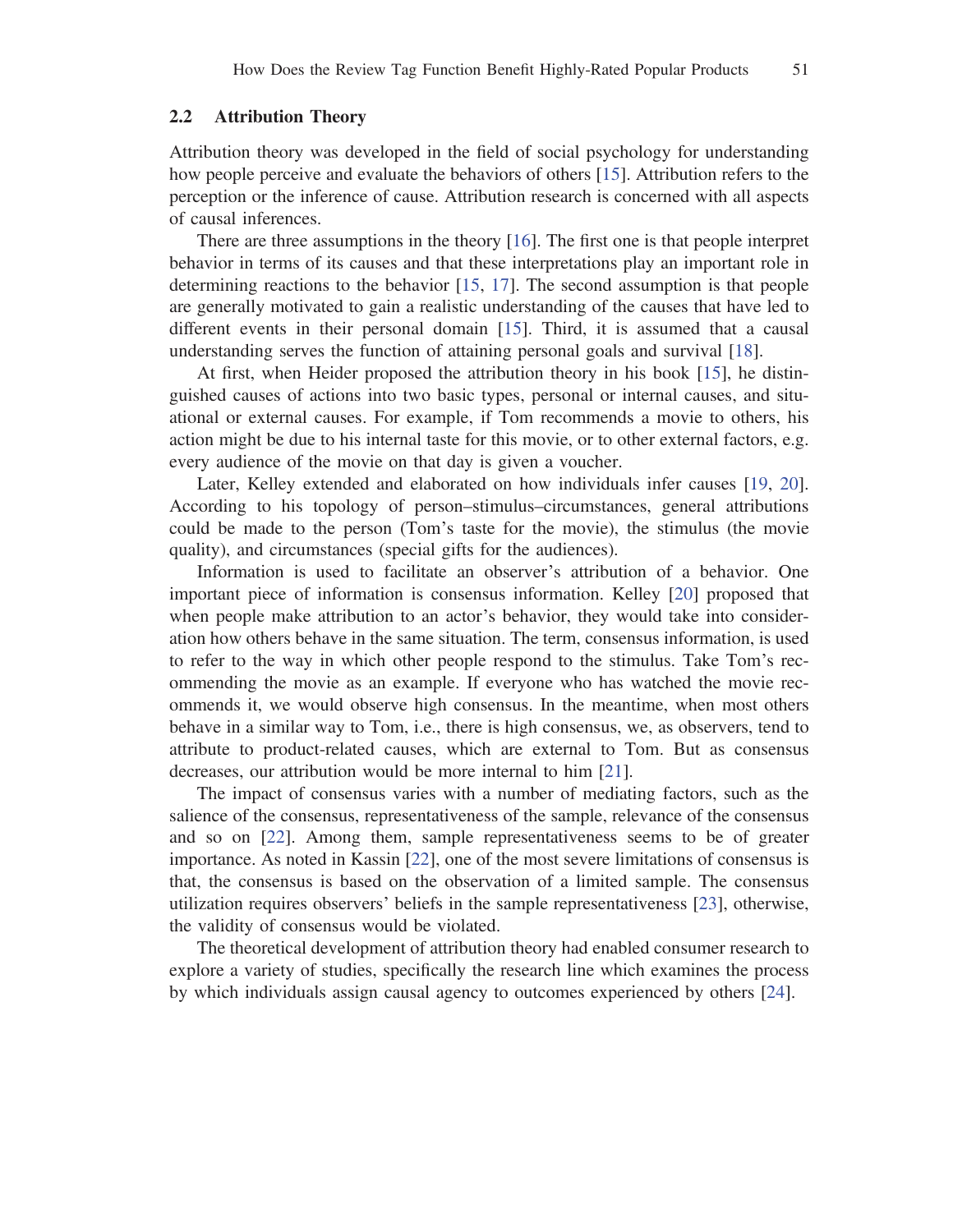#### 2.2 Attribution Theory

Attribution theory was developed in the field of social psychology for understanding how people perceive and evaluate the behaviors of others [15]. Attribution refers to the perception or the inference of cause. Attribution research is concerned with all aspects of causal inferences.

There are three assumptions in the theory [16]. The first one is that people interpret behavior in terms of its causes and that these interpretations play an important role in determining reactions to the behavior [15, 17]. The second assumption is that people are generally motivated to gain a realistic understanding of the causes that have led to different events in their personal domain [15]. Third, it is assumed that a causal understanding serves the function of attaining personal goals and survival [18].

At first, when Heider proposed the attribution theory in his book [15], he distinguished causes of actions into two basic types, personal or internal causes, and situational or external causes. For example, if Tom recommends a movie to others, his action might be due to his internal taste for this movie, or to other external factors, e.g. every audience of the movie on that day is given a voucher.

Later, Kelley extended and elaborated on how individuals infer causes [19, 20]. According to his topology of person–stimulus–circumstances, general attributions could be made to the person (Tom's taste for the movie), the stimulus (the movie quality), and circumstances (special gifts for the audiences).

Information is used to facilitate an observer's attribution of a behavior. One important piece of information is consensus information. Kelley [20] proposed that when people make attribution to an actor's behavior, they would take into consideration how others behave in the same situation. The term, consensus information, is used to refer to the way in which other people respond to the stimulus. Take Tom's recommending the movie as an example. If everyone who has watched the movie recommends it, we would observe high consensus. In the meantime, when most others behave in a similar way to Tom, i.e., there is high consensus, we, as observers, tend to attribute to product-related causes, which are external to Tom. But as consensus decreases, our attribution would be more internal to him [21].

The impact of consensus varies with a number of mediating factors, such as the salience of the consensus, representativeness of the sample, relevance of the consensus and so on [22]. Among them, sample representativeness seems to be of greater importance. As noted in Kassin [22], one of the most severe limitations of consensus is that, the consensus is based on the observation of a limited sample. The consensus utilization requires observers' beliefs in the sample representativeness [23], otherwise, the validity of consensus would be violated.

The theoretical development of attribution theory had enabled consumer research to explore a variety of studies, specifically the research line which examines the process by which individuals assign causal agency to outcomes experienced by others [24].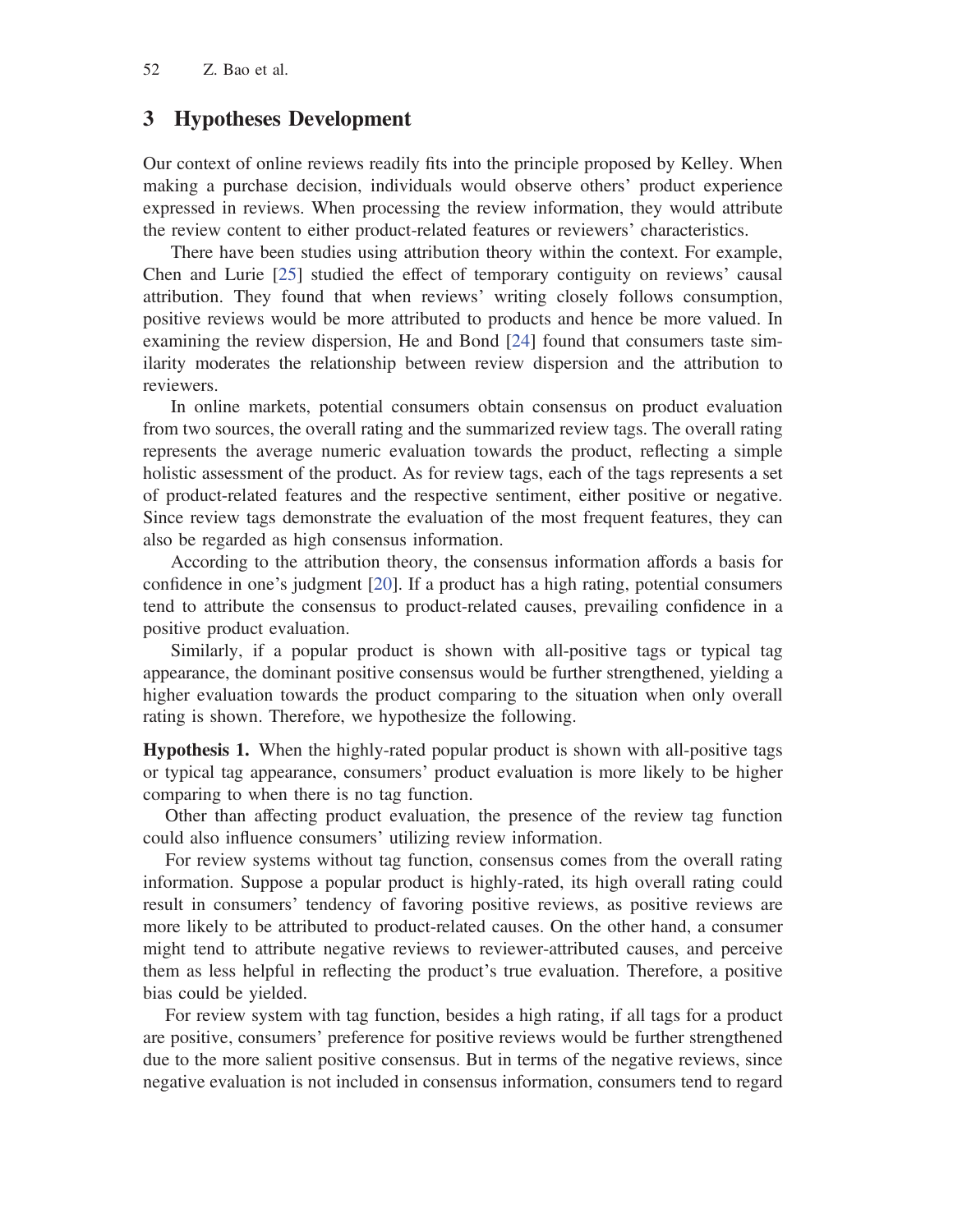# 3 Hypotheses Development

Our context of online reviews readily fits into the principle proposed by Kelley. When making a purchase decision, individuals would observe others' product experience expressed in reviews. When processing the review information, they would attribute the review content to either product-related features or reviewers' characteristics.

There have been studies using attribution theory within the context. For example, Chen and Lurie [25] studied the effect of temporary contiguity on reviews' causal attribution. They found that when reviews' writing closely follows consumption, positive reviews would be more attributed to products and hence be more valued. In examining the review dispersion, He and Bond [24] found that consumers taste similarity moderates the relationship between review dispersion and the attribution to reviewers.

In online markets, potential consumers obtain consensus on product evaluation from two sources, the overall rating and the summarized review tags. The overall rating represents the average numeric evaluation towards the product, reflecting a simple holistic assessment of the product. As for review tags, each of the tags represents a set of product-related features and the respective sentiment, either positive or negative. Since review tags demonstrate the evaluation of the most frequent features, they can also be regarded as high consensus information.

According to the attribution theory, the consensus information affords a basis for confidence in one's judgment [20]. If a product has a high rating, potential consumers tend to attribute the consensus to product-related causes, prevailing confidence in a positive product evaluation.

Similarly, if a popular product is shown with all-positive tags or typical tag appearance, the dominant positive consensus would be further strengthened, yielding a higher evaluation towards the product comparing to the situation when only overall rating is shown. Therefore, we hypothesize the following.

Hypothesis 1. When the highly-rated popular product is shown with all-positive tags or typical tag appearance, consumers' product evaluation is more likely to be higher comparing to when there is no tag function.

Other than affecting product evaluation, the presence of the review tag function could also influence consumers' utilizing review information.

For review systems without tag function, consensus comes from the overall rating information. Suppose a popular product is highly-rated, its high overall rating could result in consumers' tendency of favoring positive reviews, as positive reviews are more likely to be attributed to product-related causes. On the other hand, a consumer might tend to attribute negative reviews to reviewer-attributed causes, and perceive them as less helpful in reflecting the product's true evaluation. Therefore, a positive bias could be yielded.

For review system with tag function, besides a high rating, if all tags for a product are positive, consumers' preference for positive reviews would be further strengthened due to the more salient positive consensus. But in terms of the negative reviews, since negative evaluation is not included in consensus information, consumers tend to regard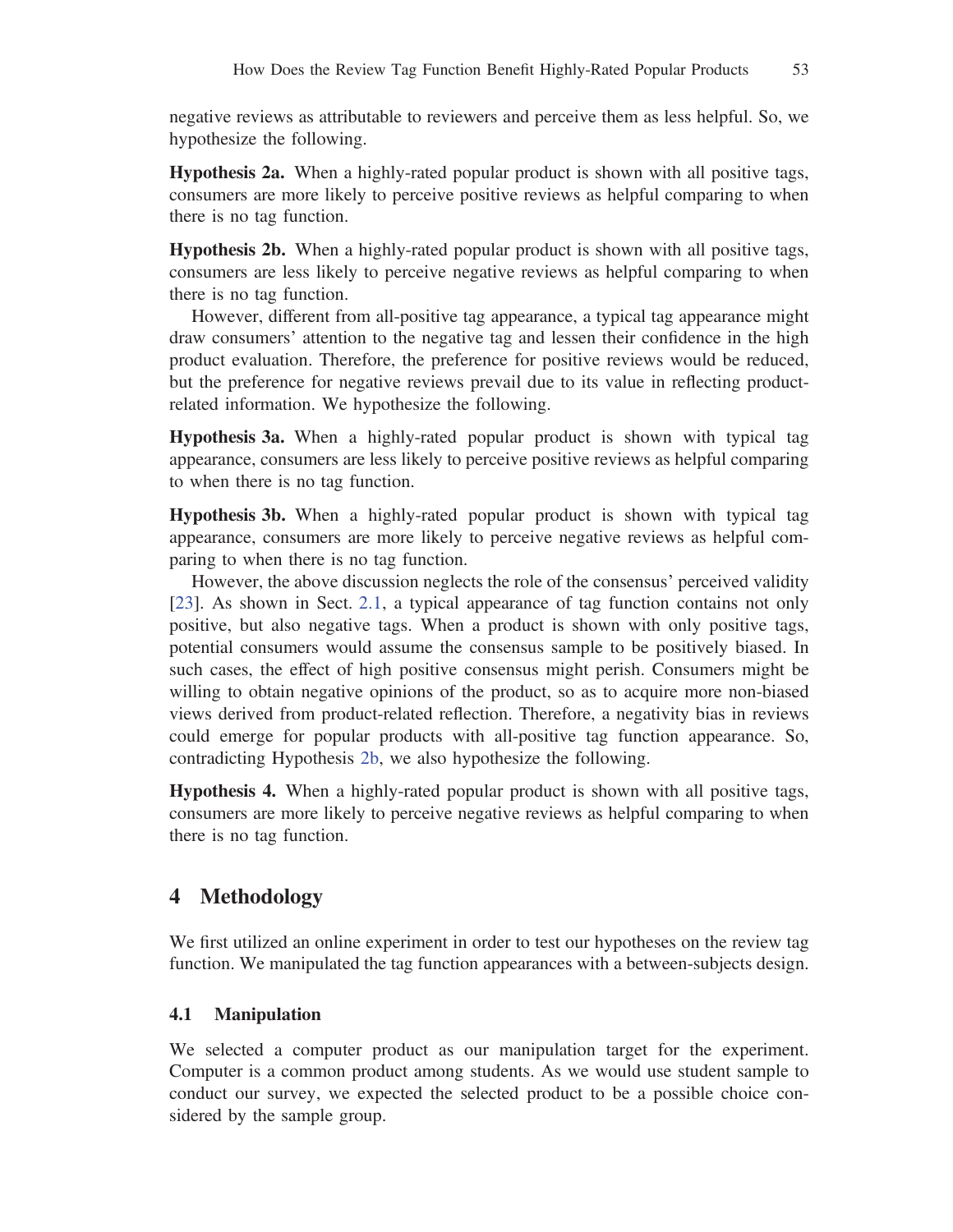negative reviews as attributable to reviewers and perceive them as less helpful. So, we hypothesize the following.

Hypothesis 2a. When a highly-rated popular product is shown with all positive tags, consumers are more likely to perceive positive reviews as helpful comparing to when there is no tag function.

Hypothesis 2b. When a highly-rated popular product is shown with all positive tags, consumers are less likely to perceive negative reviews as helpful comparing to when there is no tag function.

However, different from all-positive tag appearance, a typical tag appearance might draw consumers' attention to the negative tag and lessen their confidence in the high product evaluation. Therefore, the preference for positive reviews would be reduced, but the preference for negative reviews prevail due to its value in reflecting productrelated information. We hypothesize the following.

Hypothesis 3a. When a highly-rated popular product is shown with typical tag appearance, consumers are less likely to perceive positive reviews as helpful comparing to when there is no tag function.

Hypothesis 3b. When a highly-rated popular product is shown with typical tag appearance, consumers are more likely to perceive negative reviews as helpful comparing to when there is no tag function.

However, the above discussion neglects the role of the consensus' perceived validity [23]. As shown in Sect. 2.1, a typical appearance of tag function contains not only positive, but also negative tags. When a product is shown with only positive tags, potential consumers would assume the consensus sample to be positively biased. In such cases, the effect of high positive consensus might perish. Consumers might be willing to obtain negative opinions of the product, so as to acquire more non-biased views derived from product-related reflection. Therefore, a negativity bias in reviews could emerge for popular products with all-positive tag function appearance. So, contradicting Hypothesis 2b, we also hypothesize the following.

Hypothesis 4. When a highly-rated popular product is shown with all positive tags, consumers are more likely to perceive negative reviews as helpful comparing to when there is no tag function.

# 4 Methodology

We first utilized an online experiment in order to test our hypotheses on the review tag function. We manipulated the tag function appearances with a between-subjects design.

# 4.1 Manipulation

We selected a computer product as our manipulation target for the experiment. Computer is a common product among students. As we would use student sample to conduct our survey, we expected the selected product to be a possible choice considered by the sample group.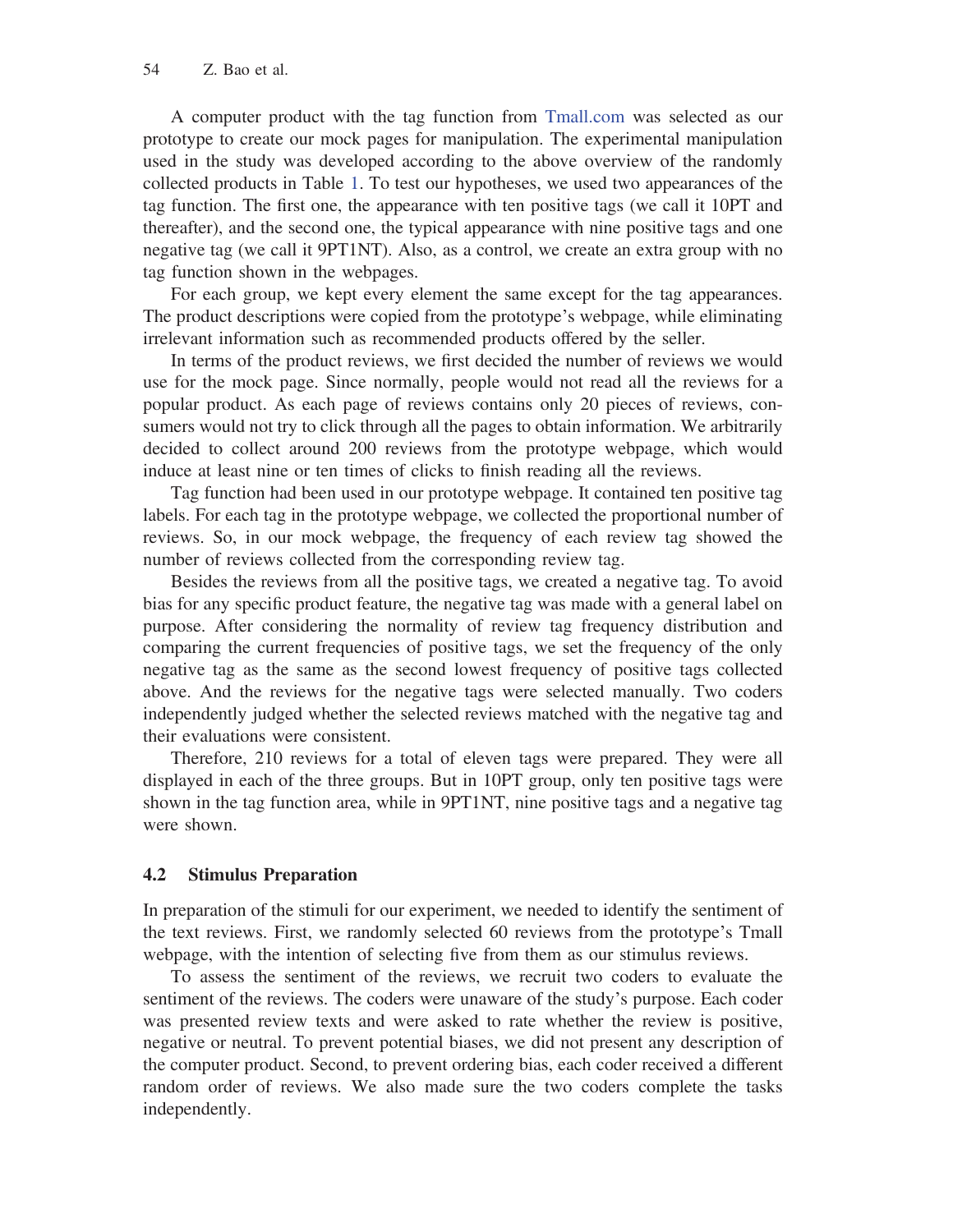A computer product with the tag function from Tmall.com was selected as our prototype to create our mock pages for manipulation. The experimental manipulation used in the study was developed according to the above overview of the randomly collected products in Table 1. To test our hypotheses, we used two appearances of the tag function. The first one, the appearance with ten positive tags (we call it 10PT and thereafter), and the second one, the typical appearance with nine positive tags and one negative tag (we call it 9PT1NT). Also, as a control, we create an extra group with no tag function shown in the webpages.

For each group, we kept every element the same except for the tag appearances. The product descriptions were copied from the prototype's webpage, while eliminating irrelevant information such as recommended products offered by the seller.

In terms of the product reviews, we first decided the number of reviews we would use for the mock page. Since normally, people would not read all the reviews for a popular product. As each page of reviews contains only 20 pieces of reviews, consumers would not try to click through all the pages to obtain information. We arbitrarily decided to collect around 200 reviews from the prototype webpage, which would induce at least nine or ten times of clicks to finish reading all the reviews.

Tag function had been used in our prototype webpage. It contained ten positive tag labels. For each tag in the prototype webpage, we collected the proportional number of reviews. So, in our mock webpage, the frequency of each review tag showed the number of reviews collected from the corresponding review tag.

Besides the reviews from all the positive tags, we created a negative tag. To avoid bias for any specific product feature, the negative tag was made with a general label on purpose. After considering the normality of review tag frequency distribution and comparing the current frequencies of positive tags, we set the frequency of the only negative tag as the same as the second lowest frequency of positive tags collected above. And the reviews for the negative tags were selected manually. Two coders independently judged whether the selected reviews matched with the negative tag and their evaluations were consistent.

Therefore, 210 reviews for a total of eleven tags were prepared. They were all displayed in each of the three groups. But in 10PT group, only ten positive tags were shown in the tag function area, while in 9PT1NT, nine positive tags and a negative tag were shown.

#### 4.2 Stimulus Preparation

In preparation of the stimuli for our experiment, we needed to identify the sentiment of the text reviews. First, we randomly selected 60 reviews from the prototype's Tmall webpage, with the intention of selecting five from them as our stimulus reviews.

To assess the sentiment of the reviews, we recruit two coders to evaluate the sentiment of the reviews. The coders were unaware of the study's purpose. Each coder was presented review texts and were asked to rate whether the review is positive, negative or neutral. To prevent potential biases, we did not present any description of the computer product. Second, to prevent ordering bias, each coder received a different random order of reviews. We also made sure the two coders complete the tasks independently.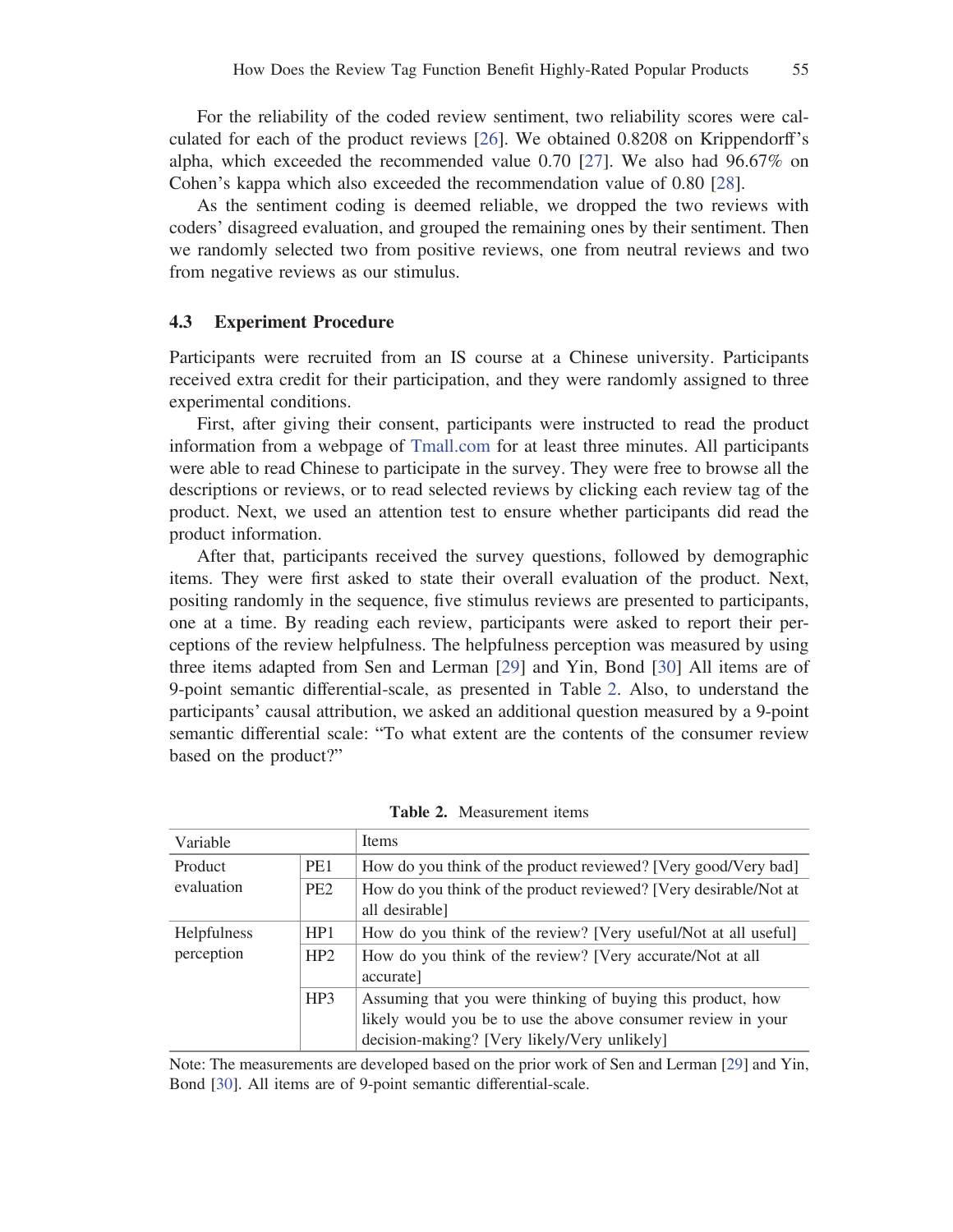For the reliability of the coded review sentiment, two reliability scores were calculated for each of the product reviews [26]. We obtained 0.8208 on Krippendorff's alpha, which exceeded the recommended value 0.70 [27]. We also had  $96.67\%$  on Cohen's kappa which also exceeded the recommendation value of 0.80 [28].

As the sentiment coding is deemed reliable, we dropped the two reviews with coders' disagreed evaluation, and grouped the remaining ones by their sentiment. Then we randomly selected two from positive reviews, one from neutral reviews and two from negative reviews as our stimulus.

#### 4.3 Experiment Procedure

Participants were recruited from an IS course at a Chinese university. Participants received extra credit for their participation, and they were randomly assigned to three experimental conditions.

First, after giving their consent, participants were instructed to read the product information from a webpage of Tmall.com for at least three minutes. All participants were able to read Chinese to participate in the survey. They were free to browse all the descriptions or reviews, or to read selected reviews by clicking each review tag of the product. Next, we used an attention test to ensure whether participants did read the product information.

After that, participants received the survey questions, followed by demographic items. They were first asked to state their overall evaluation of the product. Next, positing randomly in the sequence, five stimulus reviews are presented to participants, one at a time. By reading each review, participants were asked to report their perceptions of the review helpfulness. The helpfulness perception was measured by using three items adapted from Sen and Lerman [29] and Yin, Bond [30] All items are of 9-point semantic differential-scale, as presented in Table 2. Also, to understand the participants' causal attribution, we asked an additional question measured by a 9-point semantic differential scale: "To what extent are the contents of the consumer review based on the product?"

| Variable                         |                 | Items                                                                                                                                                                       |  |  |  |
|----------------------------------|-----------------|-----------------------------------------------------------------------------------------------------------------------------------------------------------------------------|--|--|--|
| Product                          | PE1             | How do you think of the product reviewed? [Very good/Very bad]                                                                                                              |  |  |  |
| evaluation                       | PE <sub>2</sub> | How do you think of the product reviewed? [Very desirable/Not at<br>all desirable]                                                                                          |  |  |  |
| <b>Helpfulness</b><br>perception | HP <sub>1</sub> | How do you think of the review? [Very useful/Not at all useful]                                                                                                             |  |  |  |
|                                  | HP2             | How do you think of the review? [Very accurate/Not at all<br>accurate]                                                                                                      |  |  |  |
|                                  | HP <sub>3</sub> | Assuming that you were thinking of buying this product, how<br>likely would you be to use the above consumer review in your<br>decision-making? [Very likely/Very unlikely] |  |  |  |

Table 2. Measurement items

Note: The measurements are developed based on the prior work of Sen and Lerman [29] and Yin, Bond [30]. All items are of 9-point semantic differential-scale.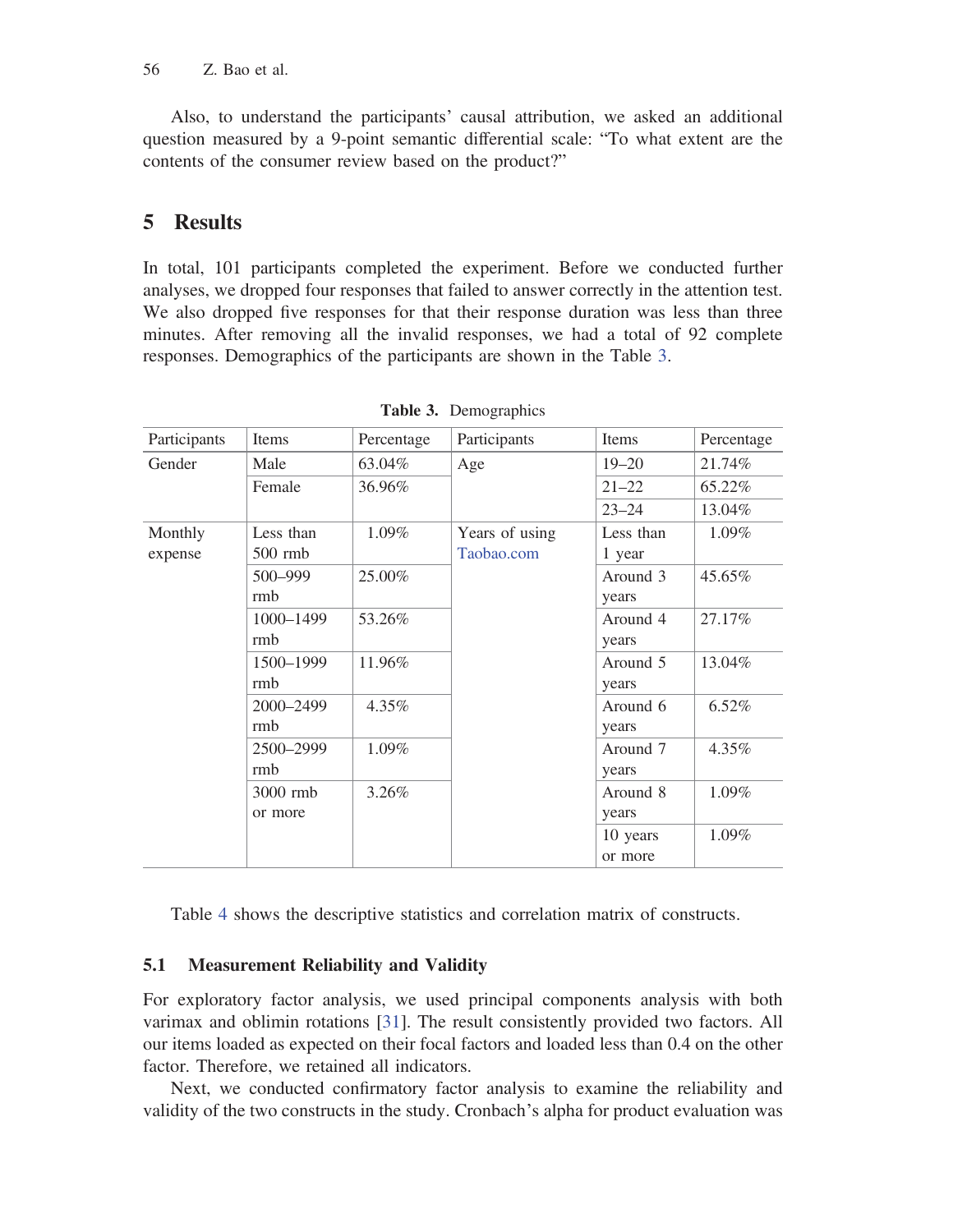56 Z. Bao et al.

Also, to understand the participants' causal attribution, we asked an additional question measured by a 9-point semantic differential scale: "To what extent are the contents of the consumer review based on the product?"

# 5 Results

In total, 101 participants completed the experiment. Before we conducted further analyses, we dropped four responses that failed to answer correctly in the attention test. We also dropped five responses for that their response duration was less than three minutes. After removing all the invalid responses, we had a total of 92 complete responses. Demographics of the participants are shown in the Table 3.

| Participants | Items     | Percentage | Participants   | Items     | Percentage |
|--------------|-----------|------------|----------------|-----------|------------|
| Gender       | Male      | 63.04%     | Age            | $19 - 20$ | 21.74%     |
|              | Female    | 36.96%     |                | $21 - 22$ | 65.22%     |
|              |           |            |                | $23 - 24$ | 13.04%     |
| Monthly      | Less than | 1.09%      | Years of using | Less than | 1.09%      |
| expense      | $500$ rmb |            | Taobao.com     | 1 year    |            |
|              | 500-999   | 25.00%     |                | Around 3  | 45.65%     |
|              | rmb       |            |                | years     |            |
|              | 1000-1499 | 53.26%     |                | Around 4  | 27.17%     |
|              | rmb       |            |                | years     |            |
|              | 1500-1999 | 11.96%     |                | Around 5  | 13.04%     |
|              | rmb       |            |                | years     |            |
|              | 2000-2499 | 4.35%      |                | Around 6  | 6.52%      |
|              | rmb       |            |                | years     |            |
|              | 2500-2999 | 1.09%      |                | Around 7  | 4.35%      |
|              | rmb       |            |                | years     |            |
|              | 3000 rmb  | 3.26%      |                | Around 8  | 1.09%      |
|              | or more   |            |                | years     |            |
|              |           |            |                | 10 years  | 1.09%      |
|              |           |            |                | or more   |            |

Table 3. Demographics

Table 4 shows the descriptive statistics and correlation matrix of constructs.

## 5.1 Measurement Reliability and Validity

For exploratory factor analysis, we used principal components analysis with both varimax and oblimin rotations [31]. The result consistently provided two factors. All our items loaded as expected on their focal factors and loaded less than 0.4 on the other factor. Therefore, we retained all indicators.

Next, we conducted confirmatory factor analysis to examine the reliability and validity of the two constructs in the study. Cronbach's alpha for product evaluation was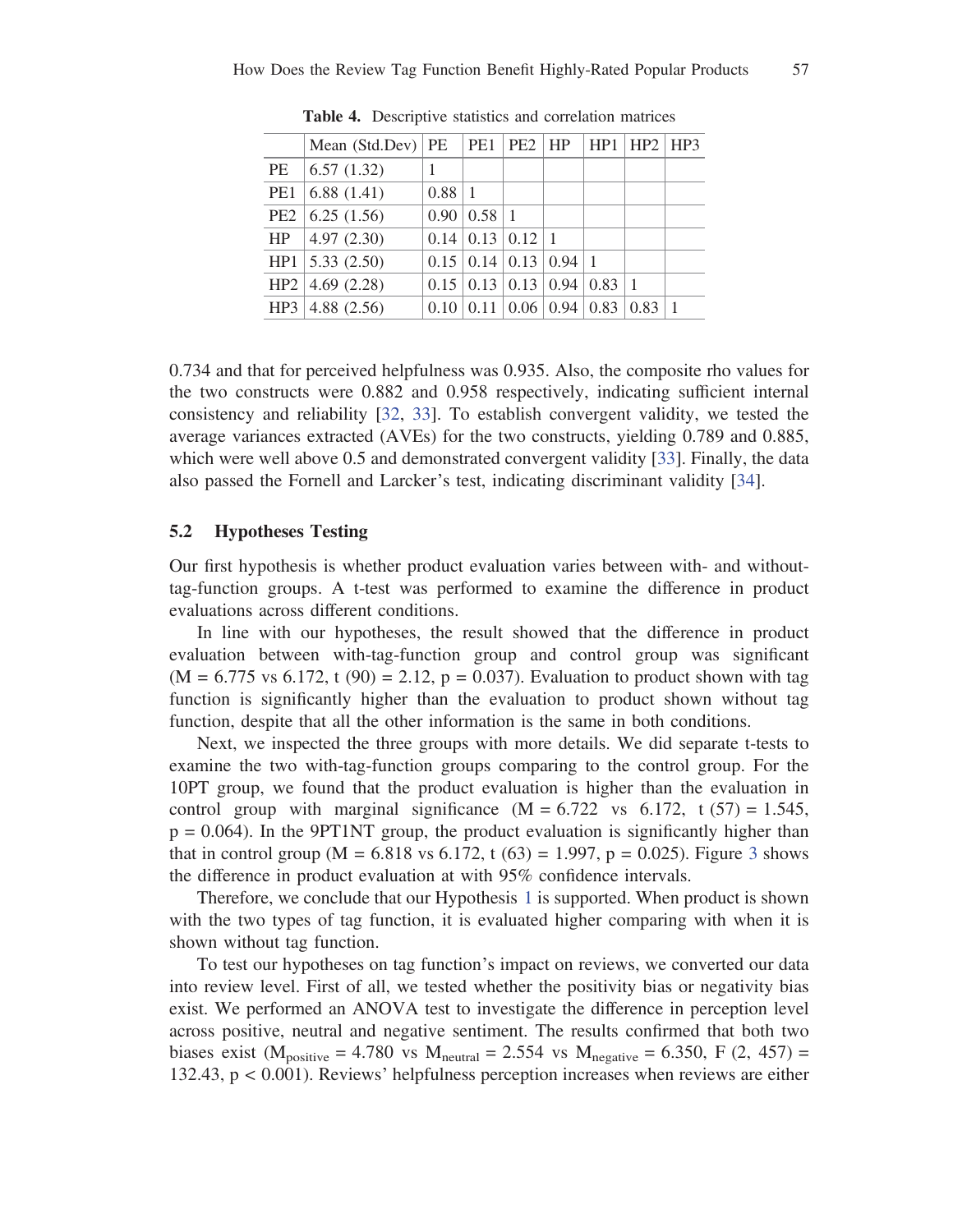|                 | Mean $(Std.Dev)$ PE |      | PE1                     | $PE2$ HP                                    |              | $HP1$   HP2   HP3 |  |
|-----------------|---------------------|------|-------------------------|---------------------------------------------|--------------|-------------------|--|
| PE              | 6.57(1.32)          | 1    |                         |                                             |              |                   |  |
| PE <sub>1</sub> | 6.88(1.41)          | 0.88 |                         |                                             |              |                   |  |
| PE <sub>2</sub> | 6.25(1.56)          |      | $0.90 \mid 0.58 \mid 1$ |                                             |              |                   |  |
| HP              | 4.97(2.30)          |      |                         | $0.14$   $0.13$   $0.12$   1                |              |                   |  |
| HP1             | 5.33(2.50)          |      |                         | $0.15 \mid 0.14 \mid 0.13 \mid 0.94 \mid 1$ |              |                   |  |
| HP2             | 4.69(2.28)          | 0.15 |                         | $0.13 \mid 0.13 \mid 0.94 \mid$             | $0.83 \pm 1$ |                   |  |
| HP3             | 4.88(2.56)          |      | 0.11                    | 0.06 0.94                                   | 0.83         | 0.83              |  |

Table 4. Descriptive statistics and correlation matrices

0.734 and that for perceived helpfulness was 0.935. Also, the composite rho values for the two constructs were 0.882 and 0.958 respectively, indicating sufficient internal consistency and reliability [32, 33]. To establish convergent validity, we tested the average variances extracted (AVEs) for the two constructs, yielding 0.789 and 0.885, which were well above 0.5 and demonstrated convergent validity [33]. Finally, the data also passed the Fornell and Larcker's test, indicating discriminant validity [34].

#### 5.2 Hypotheses Testing

Our first hypothesis is whether product evaluation varies between with- and withouttag-function groups. A t-test was performed to examine the difference in product evaluations across different conditions.

In line with our hypotheses, the result showed that the difference in product evaluation between with-tag-function group and control group was significant  $(M = 6.775 \text{ vs } 6.172, t \ (90) = 2.12, p = 0.037)$ . Evaluation to product shown with tag function is significantly higher than the evaluation to product shown without tag function, despite that all the other information is the same in both conditions.

Next, we inspected the three groups with more details. We did separate t-tests to examine the two with-tag-function groups comparing to the control group. For the 10PT group, we found that the product evaluation is higher than the evaluation in control group with marginal significance  $(M = 6.722$  vs 6.172, t  $(57) = 1.545$ ,  $p = 0.064$ ). In the 9PT1NT group, the product evaluation is significantly higher than that in control group (M = 6.818 vs 6.172, t (63) = 1.997, p = 0.025). Figure 3 shows the difference in product evaluation at with 95% confidence intervals.

Therefore, we conclude that our Hypothesis 1 is supported. When product is shown with the two types of tag function, it is evaluated higher comparing with when it is shown without tag function.

To test our hypotheses on tag function's impact on reviews, we converted our data into review level. First of all, we tested whether the positivity bias or negativity bias exist. We performed an ANOVA test to investigate the difference in perception level across positive, neutral and negative sentiment. The results confirmed that both two biases exist ( $M_{positive} = 4.780$  vs  $M_{neutral} = 2.554$  vs  $M_{negative} = 6.350$ , F (2, 457) = 132.43, p < 0.001). Reviews' helpfulness perception increases when reviews are either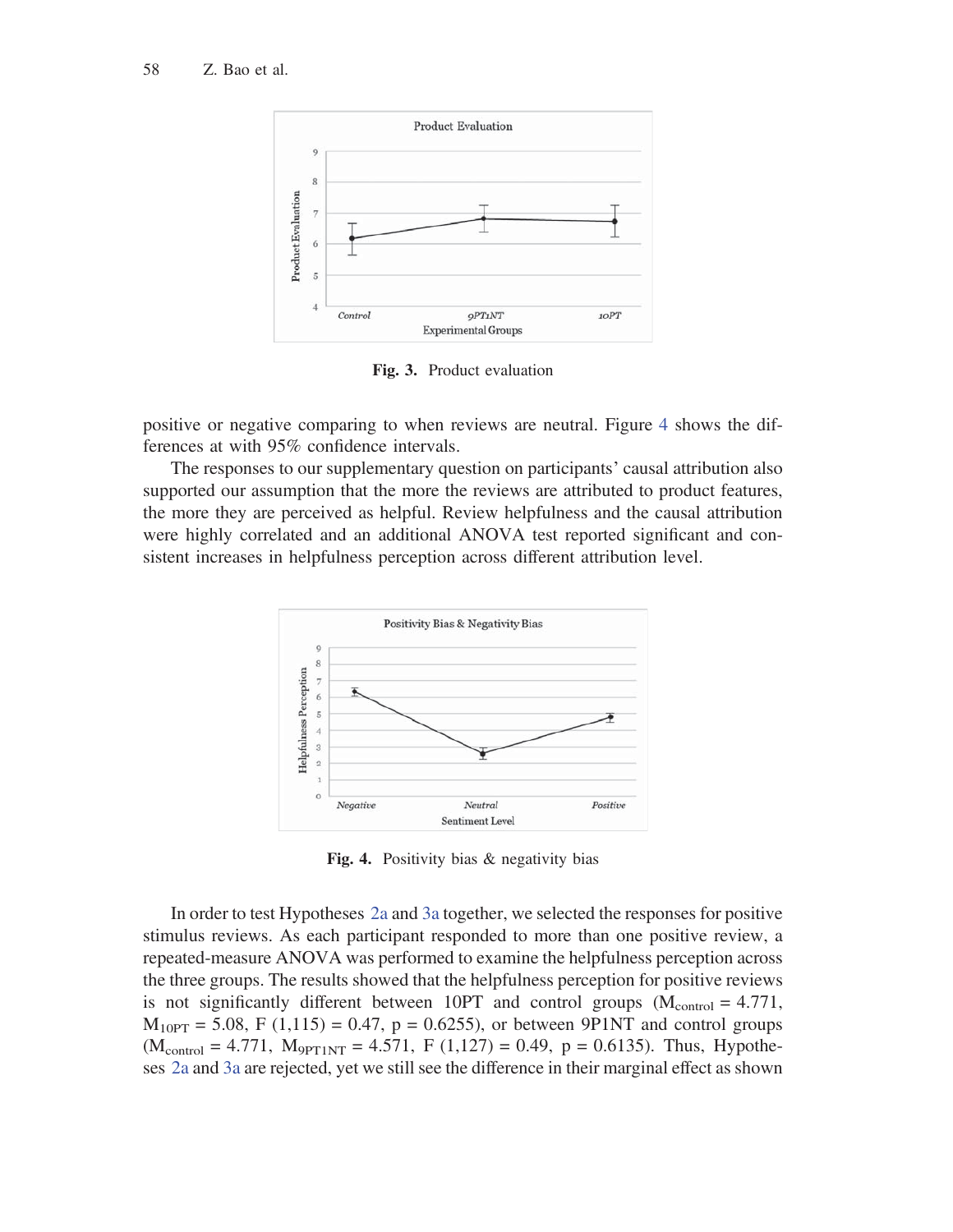

Fig. 3. Product evaluation

positive or negative comparing to when reviews are neutral. Figure 4 shows the differences at with 95% confidence intervals.

The responses to our supplementary question on participants' causal attribution also supported our assumption that the more the reviews are attributed to product features, the more they are perceived as helpful. Review helpfulness and the causal attribution were highly correlated and an additional ANOVA test reported significant and consistent increases in helpfulness perception across different attribution level.



Fig. 4. Positivity bias & negativity bias

In order to test Hypotheses 2a and 3a together, we selected the responses for positive stimulus reviews. As each participant responded to more than one positive review, a repeated-measure ANOVA was performed to examine the helpfulness perception across the three groups. The results showed that the helpfulness perception for positive reviews is not significantly different between 10PT and control groups  $(M_{control} = 4.771,$  $M_{10PT} = 5.08$ , F (1,115) = 0.47, p = 0.6255), or between 9P1NT and control groups  $(M_{control} = 4.771, M_{9PTINT} = 4.571, F (1,127) = 0.49, p = 0.6135)$ . Thus, Hypotheses 2a and 3a are rejected, yet we still see the difference in their marginal effect as shown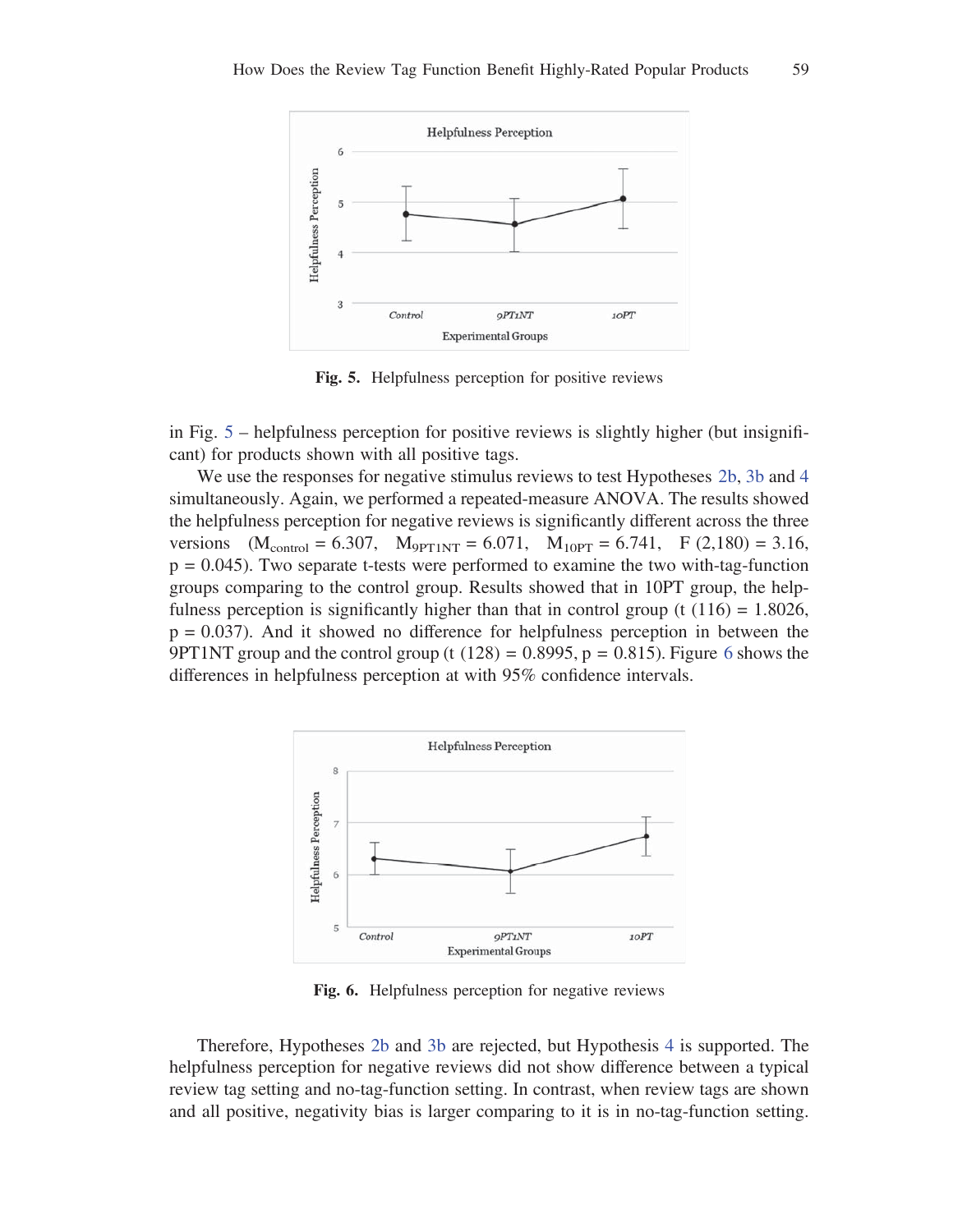

Fig. 5. Helpfulness perception for positive reviews

in Fig. 5 – helpfulness perception for positive reviews is slightly higher (but insignificant) for products shown with all positive tags.

We use the responses for negative stimulus reviews to test Hypotheses 2b, 3b and 4 simultaneously. Again, we performed a repeated-measure ANOVA. The results showed the helpfulness perception for negative reviews is significantly different across the three versions  $(M_{control} = 6.307, M_{9PT1NT} = 6.071, M_{10PT} = 6.741, F (2,180) = 3.16,$  $p = 0.045$ ). Two separate t-tests were performed to examine the two with-tag-function groups comparing to the control group. Results showed that in 10PT group, the helpfulness perception is significantly higher than that in control group (t  $(116) = 1.8026$ ,  $p = 0.037$ ). And it showed no difference for helpfulness perception in between the 9PT1NT group and the control group (t  $(128) = 0.8995$ , p = 0.815). Figure 6 shows the differences in helpfulness perception at with 95% confidence intervals.



Fig. 6. Helpfulness perception for negative reviews

Therefore, Hypotheses 2b and 3b are rejected, but Hypothesis 4 is supported. The helpfulness perception for negative reviews did not show difference between a typical review tag setting and no-tag-function setting. In contrast, when review tags are shown and all positive, negativity bias is larger comparing to it is in no-tag-function setting.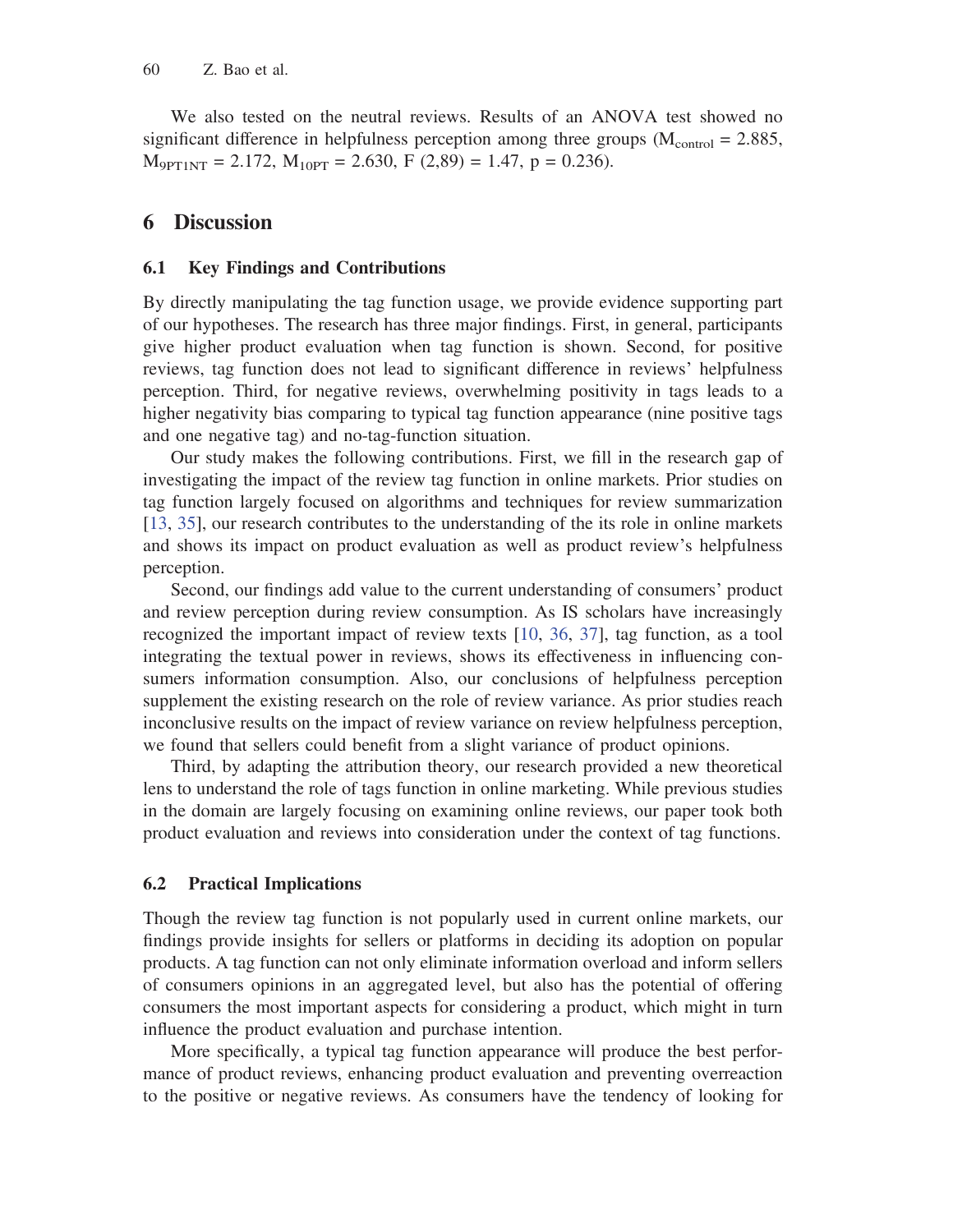We also tested on the neutral reviews. Results of an ANOVA test showed no significant difference in helpfulness perception among three groups ( $M_{control} = 2.885$ ,  $M_{9P T1NT} = 2.172$ ,  $M_{10PT} = 2.630$ ,  $F (2,89) = 1.47$ ,  $p = 0.236$ .

# 6 Discussion

#### 6.1 Key Findings and Contributions

By directly manipulating the tag function usage, we provide evidence supporting part of our hypotheses. The research has three major findings. First, in general, participants give higher product evaluation when tag function is shown. Second, for positive reviews, tag function does not lead to significant difference in reviews' helpfulness perception. Third, for negative reviews, overwhelming positivity in tags leads to a higher negativity bias comparing to typical tag function appearance (nine positive tags and one negative tag) and no-tag-function situation.

Our study makes the following contributions. First, we fill in the research gap of investigating the impact of the review tag function in online markets. Prior studies on tag function largely focused on algorithms and techniques for review summarization [13, 35], our research contributes to the understanding of the its role in online markets and shows its impact on product evaluation as well as product review's helpfulness perception.

Second, our findings add value to the current understanding of consumers' product and review perception during review consumption. As IS scholars have increasingly recognized the important impact of review texts [10, 36, 37], tag function, as a tool integrating the textual power in reviews, shows its effectiveness in influencing consumers information consumption. Also, our conclusions of helpfulness perception supplement the existing research on the role of review variance. As prior studies reach inconclusive results on the impact of review variance on review helpfulness perception, we found that sellers could benefit from a slight variance of product opinions.

Third, by adapting the attribution theory, our research provided a new theoretical lens to understand the role of tags function in online marketing. While previous studies in the domain are largely focusing on examining online reviews, our paper took both product evaluation and reviews into consideration under the context of tag functions.

## 6.2 Practical Implications

Though the review tag function is not popularly used in current online markets, our findings provide insights for sellers or platforms in deciding its adoption on popular products. A tag function can not only eliminate information overload and inform sellers of consumers opinions in an aggregated level, but also has the potential of offering consumers the most important aspects for considering a product, which might in turn influence the product evaluation and purchase intention.

More specifically, a typical tag function appearance will produce the best performance of product reviews, enhancing product evaluation and preventing overreaction to the positive or negative reviews. As consumers have the tendency of looking for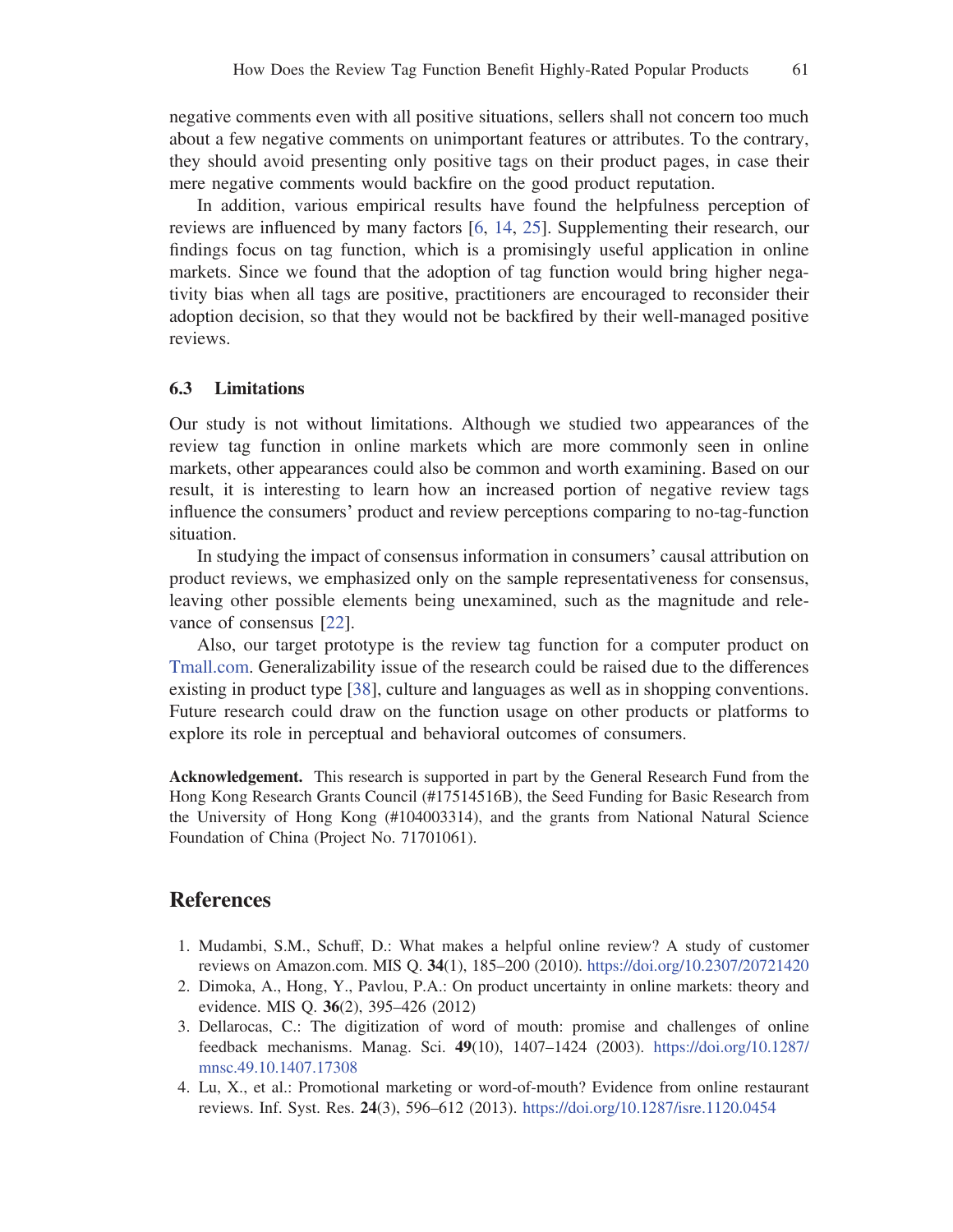negative comments even with all positive situations, sellers shall not concern too much about a few negative comments on unimportant features or attributes. To the contrary, they should avoid presenting only positive tags on their product pages, in case their mere negative comments would backfire on the good product reputation.

In addition, various empirical results have found the helpfulness perception of reviews are influenced by many factors [6, 14, 25]. Supplementing their research, our findings focus on tag function, which is a promisingly useful application in online markets. Since we found that the adoption of tag function would bring higher negativity bias when all tags are positive, practitioners are encouraged to reconsider their adoption decision, so that they would not be backfired by their well-managed positive reviews.

#### 6.3 Limitations

Our study is not without limitations. Although we studied two appearances of the review tag function in online markets which are more commonly seen in online markets, other appearances could also be common and worth examining. Based on our result, it is interesting to learn how an increased portion of negative review tags influence the consumers' product and review perceptions comparing to no-tag-function situation.

In studying the impact of consensus information in consumers' causal attribution on product reviews, we emphasized only on the sample representativeness for consensus, leaving other possible elements being unexamined, such as the magnitude and relevance of consensus [22].

Also, our target prototype is the review tag function for a computer product on Tmall.com. Generalizability issue of the research could be raised due to the differences existing in product type [38], culture and languages as well as in shopping conventions. Future research could draw on the function usage on other products or platforms to explore its role in perceptual and behavioral outcomes of consumers.

Acknowledgement. This research is supported in part by the General Research Fund from the Hong Kong Research Grants Council (#17514516B), the Seed Funding for Basic Research from the University of Hong Kong (#104003314), and the grants from National Natural Science Foundation of China (Project No. 71701061).

# References

- 1. Mudambi, S.M., Schuff, D.: What makes a helpful online review? A study of customer reviews on Amazon.com. MIS Q. 34(1), 185–200 (2010). https://doi.org/10.2307/20721420
- 2. Dimoka, A., Hong, Y., Pavlou, P.A.: On product uncertainty in online markets: theory and evidence. MIS Q. 36(2), 395–426 (2012)
- 3. Dellarocas, C.: The digitization of word of mouth: promise and challenges of online feedback mechanisms. Manag. Sci. 49(10), 1407–1424 (2003). https://doi.org/10.1287/ mnsc.49.10.1407.17308
- 4. Lu, X., et al.: Promotional marketing or word-of-mouth? Evidence from online restaurant reviews. Inf. Syst. Res. 24(3), 596–612 (2013). https://doi.org/10.1287/isre.1120.0454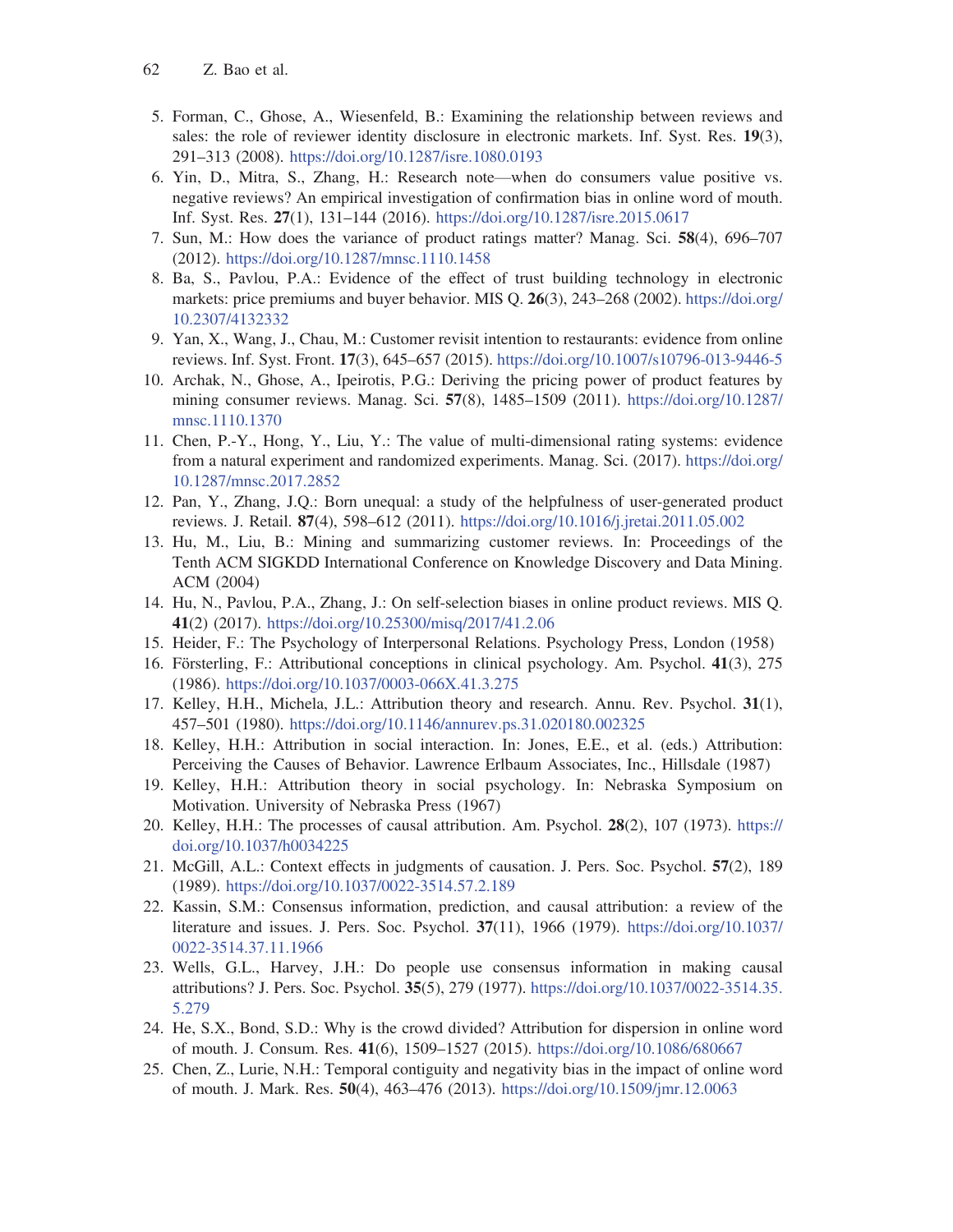- 5. Forman, C., Ghose, A., Wiesenfeld, B.: Examining the relationship between reviews and sales: the role of reviewer identity disclosure in electronic markets. Inf. Syst. Res. 19(3), 291–313 (2008). https://doi.org/10.1287/isre.1080.0193
- 6. Yin, D., Mitra, S., Zhang, H.: Research note—when do consumers value positive vs. negative reviews? An empirical investigation of confirmation bias in online word of mouth. Inf. Syst. Res. 27(1), 131–144 (2016). https://doi.org/10.1287/isre.2015.0617
- 7. Sun, M.: How does the variance of product ratings matter? Manag. Sci. 58(4), 696–707 (2012). https://doi.org/10.1287/mnsc.1110.1458
- 8. Ba, S., Pavlou, P.A.: Evidence of the effect of trust building technology in electronic markets: price premiums and buyer behavior. MIS Q. 26(3), 243–268 (2002). https://doi.org/ 10.2307/4132332
- 9. Yan, X., Wang, J., Chau, M.: Customer revisit intention to restaurants: evidence from online reviews. Inf. Syst. Front. 17(3), 645–657 (2015). https://doi.org/10.1007/s10796-013-9446-5
- 10. Archak, N., Ghose, A., Ipeirotis, P.G.: Deriving the pricing power of product features by mining consumer reviews. Manag. Sci. 57(8), 1485–1509 (2011). https://doi.org/10.1287/ mnsc.1110.1370
- 11. Chen, P.-Y., Hong, Y., Liu, Y.: The value of multi-dimensional rating systems: evidence from a natural experiment and randomized experiments. Manag. Sci. (2017). https://doi.org/ 10.1287/mnsc.2017.2852
- 12. Pan, Y., Zhang, J.Q.: Born unequal: a study of the helpfulness of user-generated product reviews. J. Retail. 87(4), 598–612 (2011). https://doi.org/10.1016/j.jretai.2011.05.002
- 13. Hu, M., Liu, B.: Mining and summarizing customer reviews. In: Proceedings of the Tenth ACM SIGKDD International Conference on Knowledge Discovery and Data Mining. ACM (2004)
- 14. Hu, N., Pavlou, P.A., Zhang, J.: On self-selection biases in online product reviews. MIS Q. 41(2) (2017). https://doi.org/10.25300/misq/2017/41.2.06
- 15. Heider, F.: The Psychology of Interpersonal Relations. Psychology Press, London (1958)
- 16. Försterling, F.: Attributional conceptions in clinical psychology. Am. Psychol. 41(3), 275 (1986). https://doi.org/10.1037/0003-066X.41.3.275
- 17. Kelley, H.H., Michela, J.L.: Attribution theory and research. Annu. Rev. Psychol. 31(1), 457–501 (1980). https://doi.org/10.1146/annurev.ps.31.020180.002325
- 18. Kelley, H.H.: Attribution in social interaction. In: Jones, E.E., et al. (eds.) Attribution: Perceiving the Causes of Behavior. Lawrence Erlbaum Associates, Inc., Hillsdale (1987)
- 19. Kelley, H.H.: Attribution theory in social psychology. In: Nebraska Symposium on Motivation. University of Nebraska Press (1967)
- 20. Kelley, H.H.: The processes of causal attribution. Am. Psychol. 28(2), 107 (1973). https:// doi.org/10.1037/h0034225
- 21. McGill, A.L.: Context effects in judgments of causation. J. Pers. Soc. Psychol. 57(2), 189 (1989). https://doi.org/10.1037/0022-3514.57.2.189
- 22. Kassin, S.M.: Consensus information, prediction, and causal attribution: a review of the literature and issues. J. Pers. Soc. Psychol. 37(11), 1966 (1979). https://doi.org/10.1037/ 0022-3514.37.11.1966
- 23. Wells, G.L., Harvey, J.H.: Do people use consensus information in making causal attributions? J. Pers. Soc. Psychol. 35(5), 279 (1977). https://doi.org/10.1037/0022-3514.35. 5.279
- 24. He, S.X., Bond, S.D.: Why is the crowd divided? Attribution for dispersion in online word of mouth. J. Consum. Res. 41(6), 1509–1527 (2015). https://doi.org/10.1086/680667
- 25. Chen, Z., Lurie, N.H.: Temporal contiguity and negativity bias in the impact of online word of mouth. J. Mark. Res. 50(4), 463–476 (2013). https://doi.org/10.1509/jmr.12.0063